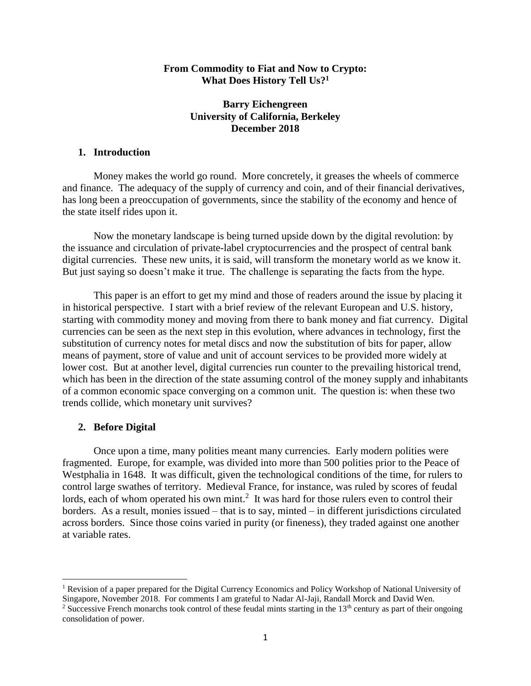## **From Commodity to Fiat and Now to Crypto: What Does History Tell Us?<sup>1</sup>**

# **Barry Eichengreen University of California, Berkeley December 2018**

# **1. Introduction**

Money makes the world go round. More concretely, it greases the wheels of commerce and finance. The adequacy of the supply of currency and coin, and of their financial derivatives, has long been a preoccupation of governments, since the stability of the economy and hence of the state itself rides upon it.

Now the monetary landscape is being turned upside down by the digital revolution: by the issuance and circulation of private-label cryptocurrencies and the prospect of central bank digital currencies. These new units, it is said, will transform the monetary world as we know it. But just saying so doesn't make it true. The challenge is separating the facts from the hype.

This paper is an effort to get my mind and those of readers around the issue by placing it in historical perspective. I start with a brief review of the relevant European and U.S. history, starting with commodity money and moving from there to bank money and fiat currency. Digital currencies can be seen as the next step in this evolution, where advances in technology, first the substitution of currency notes for metal discs and now the substitution of bits for paper, allow means of payment, store of value and unit of account services to be provided more widely at lower cost. But at another level, digital currencies run counter to the prevailing historical trend, which has been in the direction of the state assuming control of the money supply and inhabitants of a common economic space converging on a common unit. The question is: when these two trends collide, which monetary unit survives?

### **2. Before Digital**

 $\overline{a}$ 

Once upon a time, many polities meant many currencies. Early modern polities were fragmented. Europe, for example, was divided into more than 500 polities prior to the Peace of Westphalia in 1648. It was difficult, given the technological conditions of the time, for rulers to control large swathes of territory. Medieval France, for instance, was ruled by scores of feudal lords, each of whom operated his own mint.<sup>2</sup> It was hard for those rulers even to control their borders. As a result, monies issued – that is to say, minted – in different jurisdictions circulated across borders. Since those coins varied in purity (or fineness), they traded against one another at variable rates.

<sup>1</sup> Revision of a paper prepared for the Digital Currency Economics and Policy Workshop of National University of Singapore, November 2018. For comments I am grateful to Nadar Al-Jaji, Randall Morck and David Wen.

<sup>&</sup>lt;sup>2</sup> Successive French monarchs took control of these feudal mints starting in the  $13<sup>th</sup>$  century as part of their ongoing consolidation of power.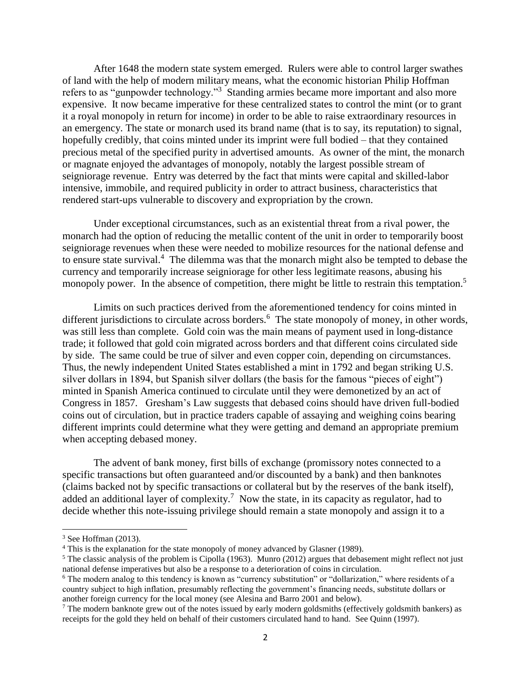After 1648 the modern state system emerged. Rulers were able to control larger swathes of land with the help of modern military means, what the economic historian Philip Hoffman refers to as "gunpowder technology."<sup>3</sup> Standing armies became more important and also more expensive. It now became imperative for these centralized states to control the mint (or to grant it a royal monopoly in return for income) in order to be able to raise extraordinary resources in an emergency. The state or monarch used its brand name (that is to say, its reputation) to signal, hopefully credibly, that coins minted under its imprint were full bodied – that they contained precious metal of the specified purity in advertised amounts. As owner of the mint, the monarch or magnate enjoyed the advantages of monopoly, notably the largest possible stream of seigniorage revenue. Entry was deterred by the fact that mints were capital and skilled-labor intensive, immobile, and required publicity in order to attract business, characteristics that rendered start-ups vulnerable to discovery and expropriation by the crown.

Under exceptional circumstances, such as an existential threat from a rival power, the monarch had the option of reducing the metallic content of the unit in order to temporarily boost seigniorage revenues when these were needed to mobilize resources for the national defense and to ensure state survival.<sup>4</sup> The dilemma was that the monarch might also be tempted to debase the currency and temporarily increase seigniorage for other less legitimate reasons, abusing his monopoly power. In the absence of competition, there might be little to restrain this temptation.<sup>5</sup>

Limits on such practices derived from the aforementioned tendency for coins minted in different jurisdictions to circulate across borders.<sup>6</sup> The state monopoly of money, in other words, was still less than complete. Gold coin was the main means of payment used in long-distance trade; it followed that gold coin migrated across borders and that different coins circulated side by side. The same could be true of silver and even copper coin, depending on circumstances. Thus, the newly independent United States established a mint in 1792 and began striking U.S. silver dollars in 1894, but Spanish silver dollars (the basis for the famous "pieces of eight") minted in Spanish America continued to circulate until they were demonetized by an act of Congress in 1857. Gresham's Law suggests that debased coins should have driven full-bodied coins out of circulation, but in practice traders capable of assaying and weighing coins bearing different imprints could determine what they were getting and demand an appropriate premium when accepting debased money.

The advent of bank money, first bills of exchange (promissory notes connected to a specific transactions but often guaranteed and/or discounted by a bank) and then banknotes (claims backed not by specific transactions or collateral but by the reserves of the bank itself), added an additional layer of complexity.<sup>7</sup> Now the state, in its capacity as regulator, had to decide whether this note-issuing privilege should remain a state monopoly and assign it to a

<sup>&</sup>lt;sup>3</sup> See Hoffman (2013).

<sup>4</sup> This is the explanation for the state monopoly of money advanced by Glasner (1989).

 $5$  The classic analysis of the problem is Cipolla (1963). Munro (2012) argues that debasement might reflect not just national defense imperatives but also be a response to a deterioration of coins in circulation.

<sup>6</sup> The modern analog to this tendency is known as "currency substitution" or "dollarization," where residents of a country subject to high inflation, presumably reflecting the government's financing needs, substitute dollars or another foreign currency for the local money (see Alesina and Barro 2001 and below).

<sup>&</sup>lt;sup>7</sup> The modern banknote grew out of the notes issued by early modern goldsmiths (effectively goldsmith bankers) as receipts for the gold they held on behalf of their customers circulated hand to hand. See Quinn (1997).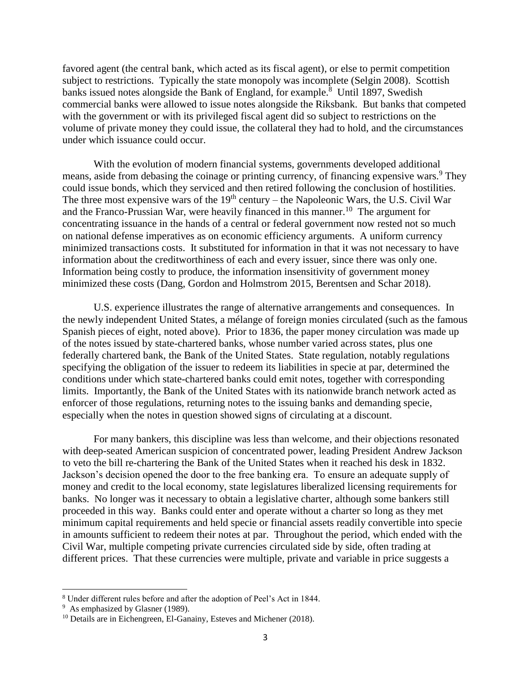favored agent (the central bank, which acted as its fiscal agent), or else to permit competition subject to restrictions. Typically the state monopoly was incomplete (Selgin 2008). Scottish banks issued notes alongside the Bank of England, for example.<sup>8</sup> Until 1897, Swedish commercial banks were allowed to issue notes alongside the Riksbank. But banks that competed with the government or with its privileged fiscal agent did so subject to restrictions on the volume of private money they could issue, the collateral they had to hold, and the circumstances under which issuance could occur.

With the evolution of modern financial systems, governments developed additional means, aside from debasing the coinage or printing currency, of financing expensive wars.<sup>9</sup> They could issue bonds, which they serviced and then retired following the conclusion of hostilities. The three most expensive wars of the  $19<sup>th</sup>$  century – the Napoleonic Wars, the U.S. Civil War and the Franco-Prussian War, were heavily financed in this manner.<sup>10</sup> The argument for concentrating issuance in the hands of a central or federal government now rested not so much on national defense imperatives as on economic efficiency arguments. A uniform currency minimized transactions costs. It substituted for information in that it was not necessary to have information about the creditworthiness of each and every issuer, since there was only one. Information being costly to produce, the information insensitivity of government money minimized these costs (Dang, Gordon and Holmstrom 2015, Berentsen and Schar 2018).

U.S. experience illustrates the range of alternative arrangements and consequences. In the newly independent United States, a mélange of foreign monies circulated (such as the famous Spanish pieces of eight, noted above). Prior to 1836, the paper money circulation was made up of the notes issued by state-chartered banks, whose number varied across states, plus one federally chartered bank, the Bank of the United States. State regulation, notably regulations specifying the obligation of the issuer to redeem its liabilities in specie at par, determined the conditions under which state-chartered banks could emit notes, together with corresponding limits. Importantly, the Bank of the United States with its nationwide branch network acted as enforcer of those regulations, returning notes to the issuing banks and demanding specie, especially when the notes in question showed signs of circulating at a discount.

For many bankers, this discipline was less than welcome, and their objections resonated with deep-seated American suspicion of concentrated power, leading President Andrew Jackson to veto the bill re-chartering the Bank of the United States when it reached his desk in 1832. Jackson's decision opened the door to the free banking era. To ensure an adequate supply of money and credit to the local economy, state legislatures liberalized licensing requirements for banks. No longer was it necessary to obtain a legislative charter, although some bankers still proceeded in this way. Banks could enter and operate without a charter so long as they met minimum capital requirements and held specie or financial assets readily convertible into specie in amounts sufficient to redeem their notes at par. Throughout the period, which ended with the Civil War, multiple competing private currencies circulated side by side, often trading at different prices. That these currencies were multiple, private and variable in price suggests a

<sup>8</sup> Under different rules before and after the adoption of Peel's Act in 1844.

<sup>&</sup>lt;sup>9</sup> As emphasized by Glasner (1989).

<sup>&</sup>lt;sup>10</sup> Details are in Eichengreen, El-Ganainy, Esteves and Michener (2018).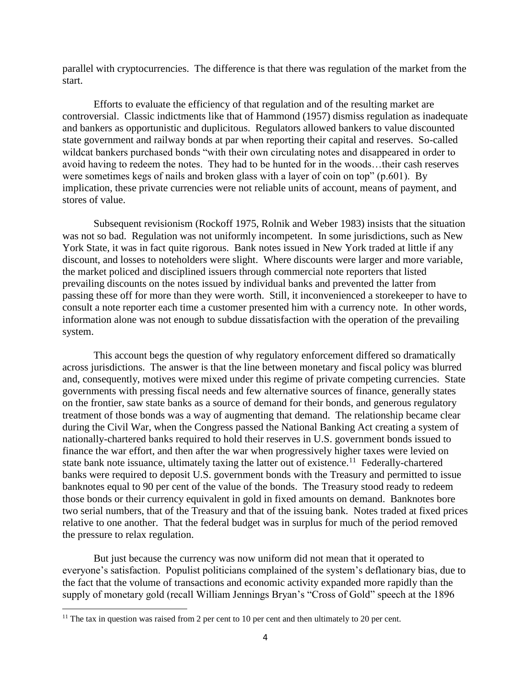parallel with cryptocurrencies. The difference is that there was regulation of the market from the start.

Efforts to evaluate the efficiency of that regulation and of the resulting market are controversial. Classic indictments like that of Hammond (1957) dismiss regulation as inadequate and bankers as opportunistic and duplicitous. Regulators allowed bankers to value discounted state government and railway bonds at par when reporting their capital and reserves. So-called wildcat bankers purchased bonds "with their own circulating notes and disappeared in order to avoid having to redeem the notes. They had to be hunted for in the woods…their cash reserves were sometimes kegs of nails and broken glass with a layer of coin on top" (p.601). By implication, these private currencies were not reliable units of account, means of payment, and stores of value.

Subsequent revisionism (Rockoff 1975, Rolnik and Weber 1983) insists that the situation was not so bad. Regulation was not uniformly incompetent. In some jurisdictions, such as New York State, it was in fact quite rigorous. Bank notes issued in New York traded at little if any discount, and losses to noteholders were slight. Where discounts were larger and more variable, the market policed and disciplined issuers through commercial note reporters that listed prevailing discounts on the notes issued by individual banks and prevented the latter from passing these off for more than they were worth. Still, it inconvenienced a storekeeper to have to consult a note reporter each time a customer presented him with a currency note. In other words, information alone was not enough to subdue dissatisfaction with the operation of the prevailing system.

This account begs the question of why regulatory enforcement differed so dramatically across jurisdictions. The answer is that the line between monetary and fiscal policy was blurred and, consequently, motives were mixed under this regime of private competing currencies. State governments with pressing fiscal needs and few alternative sources of finance, generally states on the frontier, saw state banks as a source of demand for their bonds, and generous regulatory treatment of those bonds was a way of augmenting that demand. The relationship became clear during the Civil War, when the Congress passed the National Banking Act creating a system of nationally-chartered banks required to hold their reserves in U.S. government bonds issued to finance the war effort, and then after the war when progressively higher taxes were levied on state bank note issuance, ultimately taxing the latter out of existence.<sup>11</sup> Federally-chartered banks were required to deposit U.S. government bonds with the Treasury and permitted to issue banknotes equal to 90 per cent of the value of the bonds. The Treasury stood ready to redeem those bonds or their currency equivalent in gold in fixed amounts on demand. Banknotes bore two serial numbers, that of the Treasury and that of the issuing bank. Notes traded at fixed prices relative to one another. That the federal budget was in surplus for much of the period removed the pressure to relax regulation.

But just because the currency was now uniform did not mean that it operated to everyone's satisfaction. Populist politicians complained of the system's deflationary bias, due to the fact that the volume of transactions and economic activity expanded more rapidly than the supply of monetary gold (recall William Jennings Bryan's "Cross of Gold" speech at the 1896

 $11$  The tax in question was raised from 2 per cent to 10 per cent and then ultimately to 20 per cent.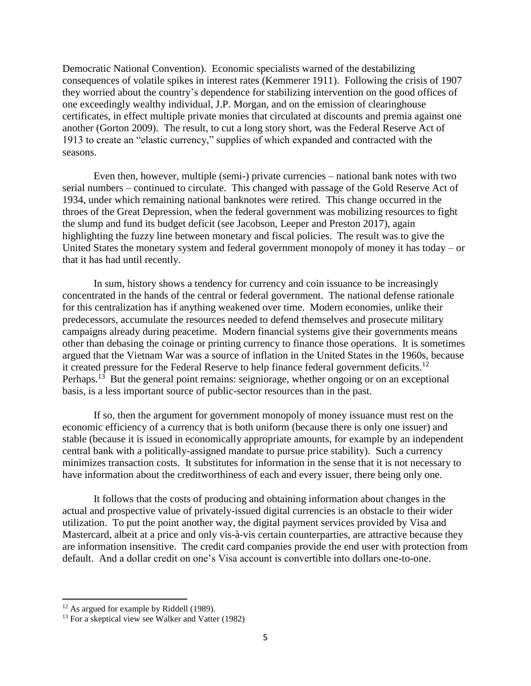Democratic National Convention). Economic specialists warned of the destabilizing consequences of volatile spikes in interest rates (Kemmerer 1911). Following the crisis of 1907 they worried about the country's dependence for stabilizing intervention on the good offices of one exceedingly wealthy individual, J.P. Morgan, and on the emission of clearinghouse certificates, in effect multiple private monies that circulated at discounts and premia against one another (Gorton 2009). The result, to cut a long story short, was the Federal Reserve Act of 1913 to create an "elastic currency," supplies of which expanded and contracted with the seasons.

Even then, however, multiple (semi-) private currencies – national bank notes with two serial numbers – continued to circulate. This changed with passage of the Gold Reserve Act of 1934, under which remaining national banknotes were retired. This change occurred in the throes of the Great Depression, when the federal government was mobilizing resources to fight the slump and fund its budget deficit (see Jacobson, Leeper and Preston 2017), again highlighting the fuzzy line between monetary and fiscal policies. The result was to give the United States the monetary system and federal government monopoly of money it has today – or that it has had until recently.

In sum, history shows a tendency for currency and coin issuance to be increasingly concentrated in the hands of the central or federal government. The national defense rationale for this centralization has if anything weakened over time. Modern economies, unlike their predecessors, accumulate the resources needed to defend themselves and prosecute military campaigns already during peacetime. Modern financial systems give their governments means other than debasing the coinage or printing currency to finance those operations. It is sometimes argued that the Vietnam War was a source of inflation in the United States in the 1960s, because it created pressure for the Federal Reserve to help finance federal government deficits.<sup>12</sup> Perhaps.<sup>13</sup> But the general point remains: seigniorage, whether ongoing or on an exceptional basis, is a less important source of public-sector resources than in the past.

If so, then the argument for government monopoly of money issuance must rest on the economic efficiency of a currency that is both uniform (because there is only one issuer) and stable (because it is issued in economically appropriate amounts, for example by an independent central bank with a politically-assigned mandate to pursue price stability). Such a currency minimizes transaction costs. It substitutes for information in the sense that it is not necessary to have information about the creditworthiness of each and every issuer, there being only one.

It follows that the costs of producing and obtaining information about changes in the actual and prospective value of privately-issued digital currencies is an obstacle to their wider utilization. To put the point another way, the digital payment services provided by Visa and Mastercard, albeit at a price and only vis-à-vis certain counterparties, are attractive because they are information insensitive. The credit card companies provide the end user with protection from default. And a dollar credit on one's Visa account is convertible into dollars one-to-one.

<sup>&</sup>lt;sup>12</sup> As argued for example by Riddell (1989).

 $13$  For a skeptical view see Walker and Vatter (1982)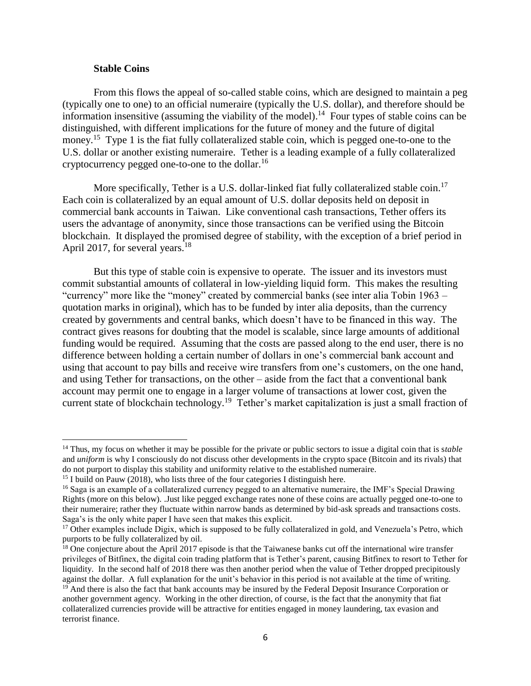### **Stable Coins**

 $\overline{\phantom{a}}$ 

terrorist finance.

From this flows the appeal of so-called stable coins, which are designed to maintain a peg (typically one to one) to an official numeraire (typically the U.S. dollar), and therefore should be information insensitive (assuming the viability of the model).<sup>14</sup> Four types of stable coins can be distinguished, with different implications for the future of money and the future of digital money.<sup>15</sup> Type 1 is the fiat fully collateralized stable coin, which is pegged one-to-one to the U.S. dollar or another existing numeraire. Tether is a leading example of a fully collateralized cryptocurrency pegged one-to-one to the dollar.<sup>16</sup>

More specifically, Tether is a U.S. dollar-linked fiat fully collateralized stable coin.<sup>17</sup> Each coin is collateralized by an equal amount of U.S. dollar deposits held on deposit in commercial bank accounts in Taiwan. Like conventional cash transactions, Tether offers its users the advantage of anonymity, since those transactions can be verified using the Bitcoin blockchain. It displayed the promised degree of stability, with the exception of a brief period in April 2017, for several years.<sup>18</sup>

But this type of stable coin is expensive to operate. The issuer and its investors must commit substantial amounts of collateral in low-yielding liquid form. This makes the resulting "currency" more like the "money" created by commercial banks (see inter alia Tobin 1963 – quotation marks in original), which has to be funded by inter alia deposits, than the currency created by governments and central banks, which doesn't have to be financed in this way. The contract gives reasons for doubting that the model is scalable, since large amounts of additional funding would be required. Assuming that the costs are passed along to the end user, there is no difference between holding a certain number of dollars in one's commercial bank account and using that account to pay bills and receive wire transfers from one's customers, on the one hand, and using Tether for transactions, on the other – aside from the fact that a conventional bank account may permit one to engage in a larger volume of transactions at lower cost, given the current state of blockchain technology.<sup>19</sup> Tether's market capitalization is just a small fraction of

<sup>14</sup> Thus, my focus on whether it may be possible for the private or public sectors to issue a digital coin that is s*table* and *uniform* is why I consciously do not discuss other developments in the crypto space (Bitcoin and its rivals) that do not purport to display this stability and uniformity relative to the established numeraire.

<sup>&</sup>lt;sup>15</sup> I build on Pauw (2018), who lists three of the four categories I distinguish here.

<sup>&</sup>lt;sup>16</sup> Saga is an example of a collateralized currency pegged to an alternative numeraire, the IMF's Special Drawing Rights (more on this below). .Just like pegged exchange rates none of these coins are actually pegged one-to-one to their numeraire; rather they fluctuate within narrow bands as determined by bid-ask spreads and transactions costs. Saga's is the only white paper I have seen that makes this explicit.

<sup>&</sup>lt;sup>17</sup> Other examples include Digix, which is supposed to be fully collateralized in gold, and Venezuela's Petro, which purports to be fully collateralized by oil.

<sup>&</sup>lt;sup>18</sup> One conjecture about the April 2017 episode is that the Taiwanese banks cut off the international wire transfer privileges of Bitfinex, the digital coin trading platform that is Tether's parent, causing Bitfinex to resort to Tether for liquidity. In the second half of 2018 there was then another period when the value of Tether dropped precipitously against the dollar. A full explanation for the unit's behavior in this period is not available at the time of writing. <sup>19</sup> And there is also the fact that bank accounts may be insured by the Federal Deposit Insurance Corporation or another government agency. Working in the other direction, of course, is the fact that the anonymity that fiat collateralized currencies provide will be attractive for entities engaged in money laundering, tax evasion and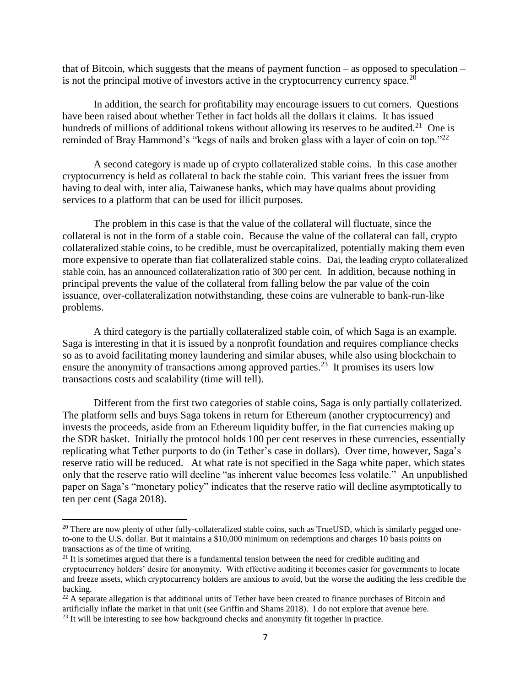that of Bitcoin, which suggests that the means of payment function – as opposed to speculation – is not the principal motive of investors active in the cryptocurrency currency space. $^{20}$ 

In addition, the search for profitability may encourage issuers to cut corners. Questions have been raised about whether Tether in fact holds all the dollars it claims. It has issued hundreds of millions of additional tokens without allowing its reserves to be audited.<sup>21</sup> One is reminded of Bray Hammond's "kegs of nails and broken glass with a layer of coin on top."<sup>22</sup>

A second category is made up of crypto collateralized stable coins. In this case another cryptocurrency is held as collateral to back the stable coin. This variant frees the issuer from having to deal with, inter alia, Taiwanese banks, which may have qualms about providing services to a platform that can be used for illicit purposes.

The problem in this case is that the value of the collateral will fluctuate, since the collateral is not in the form of a stable coin. Because the value of the collateral can fall, crypto collateralized stable coins, to be credible, must be overcapitalized, potentially making them even more expensive to operate than fiat collateralized stable coins. Dai, the leading crypto collateralized stable coin, has an announced collateralization ratio of 300 per cent. In addition, because nothing in principal prevents the value of the collateral from falling below the par value of the coin issuance, over-collateralization notwithstanding, these coins are vulnerable to bank-run-like problems.

A third category is the partially collateralized stable coin, of which Saga is an example. Saga is interesting in that it is issued by a nonprofit foundation and requires compliance checks so as to avoid facilitating money laundering and similar abuses, while also using blockchain to ensure the anonymity of transactions among approved parties.<sup>23</sup> It promises its users low transactions costs and scalability (time will tell).

Different from the first two categories of stable coins, Saga is only partially collaterized. The platform sells and buys Saga tokens in return for Ethereum (another cryptocurrency) and invests the proceeds, aside from an Ethereum liquidity buffer, in the fiat currencies making up the SDR basket. Initially the protocol holds 100 per cent reserves in these currencies, essentially replicating what Tether purports to do (in Tether's case in dollars). Over time, however, Saga's reserve ratio will be reduced. At what rate is not specified in the Saga white paper, which states only that the reserve ratio will decline "as inherent value becomes less volatile." An unpublished paper on Saga's "monetary policy" indicates that the reserve ratio will decline asymptotically to ten per cent (Saga 2018).

<sup>&</sup>lt;sup>20</sup> There are now plenty of other fully-collateralized stable coins, such as TrueUSD, which is similarly pegged oneto-one to the U.S. dollar. But it maintains a \$10,000 minimum on redemptions and charges 10 basis points on transactions as of the time of writing.

 $2<sup>1</sup>$  It is sometimes argued that there is a fundamental tension between the need for credible auditing and cryptocurrency holders' desire for anonymity. With effective auditing it becomes easier for governments to locate and freeze assets, which cryptocurrency holders are anxious to avoid, but the worse the auditing the less credible the backing.

 $^{22}$  A separate allegation is that additional units of Tether have been created to finance purchases of Bitcoin and artificially inflate the market in that unit (see Griffin and Shams 2018). I do not explore that avenue here.

<sup>&</sup>lt;sup>23</sup> It will be interesting to see how background checks and anonymity fit together in practice.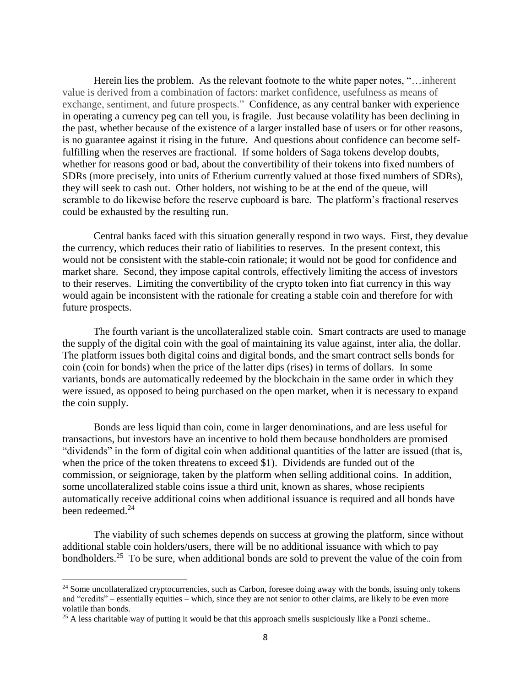Herein lies the problem. As the relevant footnote to the white paper notes, "... inherent value is derived from a combination of factors: market confidence, usefulness as means of exchange, sentiment, and future prospects." Confidence, as any central banker with experience in operating a currency peg can tell you, is fragile. Just because volatility has been declining in the past, whether because of the existence of a larger installed base of users or for other reasons, is no guarantee against it rising in the future. And questions about confidence can become selffulfilling when the reserves are fractional. If some holders of Saga tokens develop doubts, whether for reasons good or bad, about the convertibility of their tokens into fixed numbers of SDRs (more precisely, into units of Etherium currently valued at those fixed numbers of SDRs), they will seek to cash out. Other holders, not wishing to be at the end of the queue, will scramble to do likewise before the reserve cupboard is bare. The platform's fractional reserves could be exhausted by the resulting run.

Central banks faced with this situation generally respond in two ways. First, they devalue the currency, which reduces their ratio of liabilities to reserves. In the present context, this would not be consistent with the stable-coin rationale; it would not be good for confidence and market share. Second, they impose capital controls, effectively limiting the access of investors to their reserves. Limiting the convertibility of the crypto token into fiat currency in this way would again be inconsistent with the rationale for creating a stable coin and therefore for with future prospects.

The fourth variant is the uncollateralized stable coin. Smart contracts are used to manage the supply of the digital coin with the goal of maintaining its value against, inter alia, the dollar. The platform issues both digital coins and digital bonds, and the smart contract sells bonds for coin (coin for bonds) when the price of the latter dips (rises) in terms of dollars. In some variants, bonds are automatically redeemed by the blockchain in the same order in which they were issued, as opposed to being purchased on the open market, when it is necessary to expand the coin supply.

Bonds are less liquid than coin, come in larger denominations, and are less useful for transactions, but investors have an incentive to hold them because bondholders are promised "dividends" in the form of digital coin when additional quantities of the latter are issued (that is, when the price of the token threatens to exceed \$1). Dividends are funded out of the commission, or seigniorage, taken by the platform when selling additional coins. In addition, some uncollateralized stable coins issue a third unit, known as shares, whose recipients automatically receive additional coins when additional issuance is required and all bonds have been redeemed. 24

The viability of such schemes depends on success at growing the platform, since without additional stable coin holders/users, there will be no additional issuance with which to pay bondholders.<sup>25</sup> To be sure, when additional bonds are sold to prevent the value of the coin from

<sup>&</sup>lt;sup>24</sup> Some uncollateralized cryptocurrencies, such as Carbon, foresee doing away with the bonds, issuing only tokens and "credits" – essentially equities – which, since they are not senior to other claims, are likely to be even more volatile than bonds.

 $25$  A less charitable way of putting it would be that this approach smells suspiciously like a Ponzi scheme..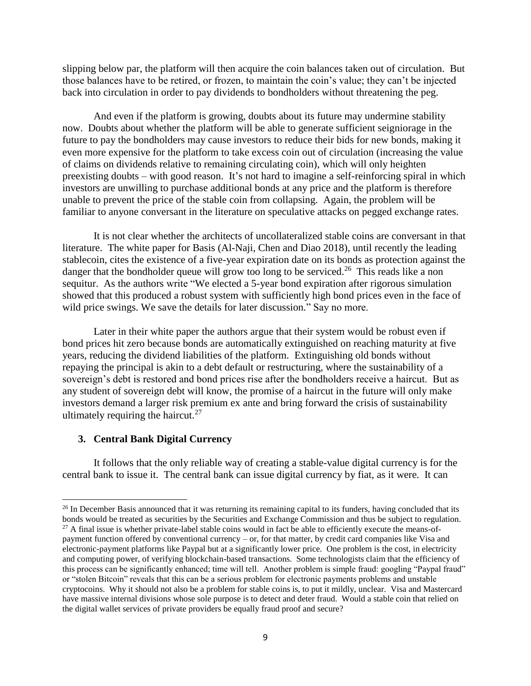slipping below par, the platform will then acquire the coin balances taken out of circulation. But those balances have to be retired, or frozen, to maintain the coin's value; they can't be injected back into circulation in order to pay dividends to bondholders without threatening the peg.

And even if the platform is growing, doubts about its future may undermine stability now. Doubts about whether the platform will be able to generate sufficient seigniorage in the future to pay the bondholders may cause investors to reduce their bids for new bonds, making it even more expensive for the platform to take excess coin out of circulation (increasing the value of claims on dividends relative to remaining circulating coin), which will only heighten preexisting doubts – with good reason. It's not hard to imagine a self-reinforcing spiral in which investors are unwilling to purchase additional bonds at any price and the platform is therefore unable to prevent the price of the stable coin from collapsing. Again, the problem will be familiar to anyone conversant in the literature on speculative attacks on pegged exchange rates.

It is not clear whether the architects of uncollateralized stable coins are conversant in that literature. The white paper for Basis (Al-Naji, Chen and Diao 2018), until recently the leading stablecoin, cites the existence of a five-year expiration date on its bonds as protection against the danger that the bondholder queue will grow too long to be serviced.<sup>26</sup> This reads like a non sequitur. As the authors write "We elected a 5-year bond expiration after rigorous simulation showed that this produced a robust system with sufficiently high bond prices even in the face of wild price swings. We save the details for later discussion." Say no more.

Later in their white paper the authors argue that their system would be robust even if bond prices hit zero because bonds are automatically extinguished on reaching maturity at five years, reducing the dividend liabilities of the platform. Extinguishing old bonds without repaying the principal is akin to a debt default or restructuring, where the sustainability of a sovereign's debt is restored and bond prices rise after the bondholders receive a haircut. But as any student of sovereign debt will know, the promise of a haircut in the future will only make investors demand a larger risk premium ex ante and bring forward the crisis of sustainability ultimately requiring the haircut.<sup>27</sup>

#### **3. Central Bank Digital Currency**

 $\overline{\phantom{a}}$ 

It follows that the only reliable way of creating a stable-value digital currency is for the central bank to issue it. The central bank can issue digital currency by fiat, as it were. It can

<sup>&</sup>lt;sup>26</sup> In December Basis announced that it was returning its remaining capital to its funders, having concluded that its bonds would be treated as securities by the Securities and Exchange Commission and thus be subject to regulation.

 $27$  A final issue is whether private-label stable coins would in fact be able to efficiently execute the means-ofpayment function offered by conventional currency – or, for that matter, by credit card companies like Visa and electronic-payment platforms like Paypal but at a significantly lower price. One problem is the cost, in electricity and computing power, of verifying blockchain-based transactions. Some technologists claim that the efficiency of this process can be significantly enhanced; time will tell. Another problem is simple fraud: googling "Paypal fraud" or "stolen Bitcoin" reveals that this can be a serious problem for electronic payments problems and unstable cryptocoins. Why it should not also be a problem for stable coins is, to put it mildly, unclear. Visa and Mastercard have massive internal divisions whose sole purpose is to detect and deter fraud. Would a stable coin that relied on the digital wallet services of private providers be equally fraud proof and secure?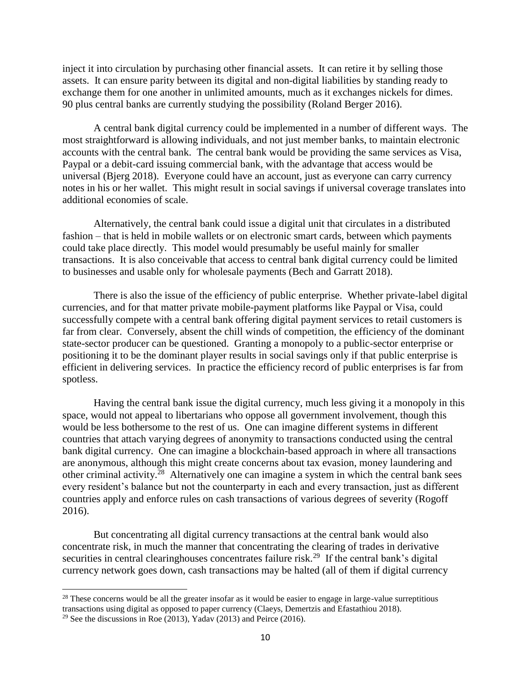inject it into circulation by purchasing other financial assets. It can retire it by selling those assets. It can ensure parity between its digital and non-digital liabilities by standing ready to exchange them for one another in unlimited amounts, much as it exchanges nickels for dimes. 90 plus central banks are currently studying the possibility (Roland Berger 2016).

A central bank digital currency could be implemented in a number of different ways. The most straightforward is allowing individuals, and not just member banks, to maintain electronic accounts with the central bank. The central bank would be providing the same services as Visa, Paypal or a debit-card issuing commercial bank, with the advantage that access would be universal (Bjerg 2018). Everyone could have an account, just as everyone can carry currency notes in his or her wallet. This might result in social savings if universal coverage translates into additional economies of scale.

Alternatively, the central bank could issue a digital unit that circulates in a distributed fashion – that is held in mobile wallets or on electronic smart cards, between which payments could take place directly. This model would presumably be useful mainly for smaller transactions. It is also conceivable that access to central bank digital currency could be limited to businesses and usable only for wholesale payments (Bech and Garratt 2018).

There is also the issue of the efficiency of public enterprise. Whether private-label digital currencies, and for that matter private mobile-payment platforms like Paypal or Visa, could successfully compete with a central bank offering digital payment services to retail customers is far from clear. Conversely, absent the chill winds of competition, the efficiency of the dominant state-sector producer can be questioned. Granting a monopoly to a public-sector enterprise or positioning it to be the dominant player results in social savings only if that public enterprise is efficient in delivering services. In practice the efficiency record of public enterprises is far from spotless.

Having the central bank issue the digital currency, much less giving it a monopoly in this space, would not appeal to libertarians who oppose all government involvement, though this would be less bothersome to the rest of us. One can imagine different systems in different countries that attach varying degrees of anonymity to transactions conducted using the central bank digital currency. One can imagine a blockchain-based approach in where all transactions are anonymous, although this might create concerns about tax evasion, money laundering and other criminal activity.<sup>28</sup> Alternatively one can imagine a system in which the central bank sees every resident's balance but not the counterparty in each and every transaction, just as different countries apply and enforce rules on cash transactions of various degrees of severity (Rogoff 2016).

But concentrating all digital currency transactions at the central bank would also concentrate risk, in much the manner that concentrating the clearing of trades in derivative securities in central clearinghouses concentrates failure risk.<sup>29</sup> If the central bank's digital currency network goes down, cash transactions may be halted (all of them if digital currency

<sup>&</sup>lt;sup>28</sup> These concerns would be all the greater insofar as it would be easier to engage in large-value surreptitious transactions using digital as opposed to paper currency (Claeys, Demertzis and Efastathiou 2018).

<sup>&</sup>lt;sup>29</sup> See the discussions in Roe (2013), Yadav (2013) and Peirce (2016).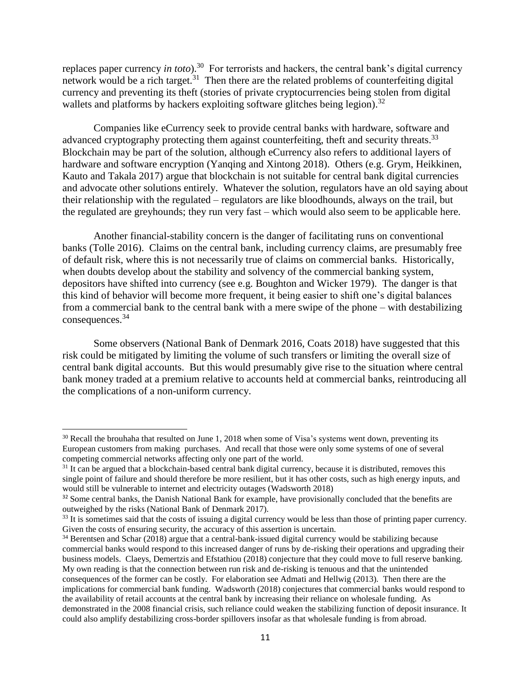replaces paper currency *in toto*).<sup>30</sup> For terrorists and hackers, the central bank's digital currency network would be a rich target.<sup>31</sup> Then there are the related problems of counterfeiting digital currency and preventing its theft (stories of private cryptocurrencies being stolen from digital wallets and platforms by hackers exploiting software glitches being legion).<sup>32</sup>

Companies like eCurrency seek to provide central banks with hardware, software and advanced cryptography protecting them against counterfeiting, theft and security threats.<sup>33</sup> Blockchain may be part of the solution, although eCurrency also refers to additional layers of hardware and software encryption (Yanqing and Xintong 2018). Others (e.g. Grym, Heikkinen, Kauto and Takala 2017) argue that blockchain is not suitable for central bank digital currencies and advocate other solutions entirely. Whatever the solution, regulators have an old saying about their relationship with the regulated – regulators are like bloodhounds, always on the trail, but the regulated are greyhounds; they run very fast – which would also seem to be applicable here.

Another financial-stability concern is the danger of facilitating runs on conventional banks (Tolle 2016). Claims on the central bank, including currency claims, are presumably free of default risk, where this is not necessarily true of claims on commercial banks. Historically, when doubts develop about the stability and solvency of the commercial banking system, depositors have shifted into currency (see e.g. Boughton and Wicker 1979). The danger is that this kind of behavior will become more frequent, it being easier to shift one's digital balances from a commercial bank to the central bank with a mere swipe of the phone – with destabilizing consequences.<sup>34</sup>

Some observers (National Bank of Denmark 2016, Coats 2018) have suggested that this risk could be mitigated by limiting the volume of such transfers or limiting the overall size of central bank digital accounts. But this would presumably give rise to the situation where central bank money traded at a premium relative to accounts held at commercial banks, reintroducing all the complications of a non-uniform currency.

<sup>&</sup>lt;sup>30</sup> Recall the brouhaha that resulted on June 1, 2018 when some of Visa's systems went down, preventing its European customers from making purchases. And recall that those were only some systems of one of several competing commercial networks affecting only one part of the world.

 $31$  It can be argued that a blockchain-based central bank digital currency, because it is distributed, removes this single point of failure and should therefore be more resilient, but it has other costs, such as high energy inputs, and would still be vulnerable to internet and electricity outages (Wadsworth 2018)

<sup>&</sup>lt;sup>32</sup> Some central banks, the Danish National Bank for example, have provisionally concluded that the benefits are outweighed by the risks (National Bank of Denmark 2017).

<sup>&</sup>lt;sup>33</sup> It is sometimes said that the costs of issuing a digital currency would be less than those of printing paper currency. Given the costs of ensuring security, the accuracy of this assertion is uncertain.

<sup>&</sup>lt;sup>34</sup> Berentsen and Schar (2018) argue that a central-bank-issued digital currency would be stabilizing because commercial banks would respond to this increased danger of runs by de-risking their operations and upgrading their business models. Claeys, Demertzis and Efstathiou (2018) conjecture that they could move to full reserve banking. My own reading is that the connection between run risk and de-risking is tenuous and that the unintended consequences of the former can be costly. For elaboration see Admati and Hellwig (2013). Then there are the implications for commercial bank funding. Wadsworth (2018) conjectures that commercial banks would respond to the availability of retail accounts at the central bank by increasing their reliance on wholesale funding. As demonstrated in the 2008 financial crisis, such reliance could weaken the stabilizing function of deposit insurance. It could also amplify destabilizing cross-border spillovers insofar as that wholesale funding is from abroad.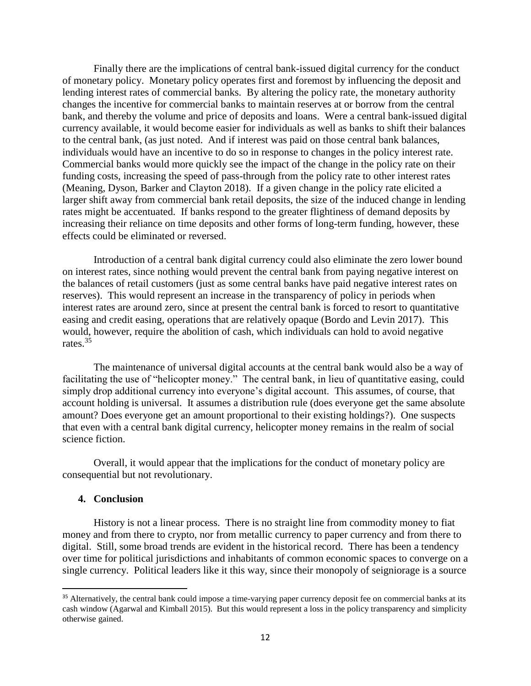Finally there are the implications of central bank-issued digital currency for the conduct of monetary policy. Monetary policy operates first and foremost by influencing the deposit and lending interest rates of commercial banks. By altering the policy rate, the monetary authority changes the incentive for commercial banks to maintain reserves at or borrow from the central bank, and thereby the volume and price of deposits and loans. Were a central bank-issued digital currency available, it would become easier for individuals as well as banks to shift their balances to the central bank, (as just noted. And if interest was paid on those central bank balances, individuals would have an incentive to do so in response to changes in the policy interest rate. Commercial banks would more quickly see the impact of the change in the policy rate on their funding costs, increasing the speed of pass-through from the policy rate to other interest rates (Meaning, Dyson, Barker and Clayton 2018). If a given change in the policy rate elicited a larger shift away from commercial bank retail deposits, the size of the induced change in lending rates might be accentuated. If banks respond to the greater flightiness of demand deposits by increasing their reliance on time deposits and other forms of long-term funding, however, these effects could be eliminated or reversed.

Introduction of a central bank digital currency could also eliminate the zero lower bound on interest rates, since nothing would prevent the central bank from paying negative interest on the balances of retail customers (just as some central banks have paid negative interest rates on reserves). This would represent an increase in the transparency of policy in periods when interest rates are around zero, since at present the central bank is forced to resort to quantitative easing and credit easing, operations that are relatively opaque (Bordo and Levin 2017). This would, however, require the abolition of cash, which individuals can hold to avoid negative rates.<sup>35</sup>

The maintenance of universal digital accounts at the central bank would also be a way of facilitating the use of "helicopter money." The central bank, in lieu of quantitative easing, could simply drop additional currency into everyone's digital account. This assumes, of course, that account holding is universal. It assumes a distribution rule (does everyone get the same absolute amount? Does everyone get an amount proportional to their existing holdings?). One suspects that even with a central bank digital currency, helicopter money remains in the realm of social science fiction.

Overall, it would appear that the implications for the conduct of monetary policy are consequential but not revolutionary.

#### **4. Conclusion**

 $\overline{\phantom{a}}$ 

History is not a linear process. There is no straight line from commodity money to fiat money and from there to crypto, nor from metallic currency to paper currency and from there to digital. Still, some broad trends are evident in the historical record. There has been a tendency over time for political jurisdictions and inhabitants of common economic spaces to converge on a single currency. Political leaders like it this way, since their monopoly of seigniorage is a source

<sup>&</sup>lt;sup>35</sup> Alternatively, the central bank could impose a time-varying paper currency deposit fee on commercial banks at its cash window (Agarwal and Kimball 2015). But this would represent a loss in the policy transparency and simplicity otherwise gained.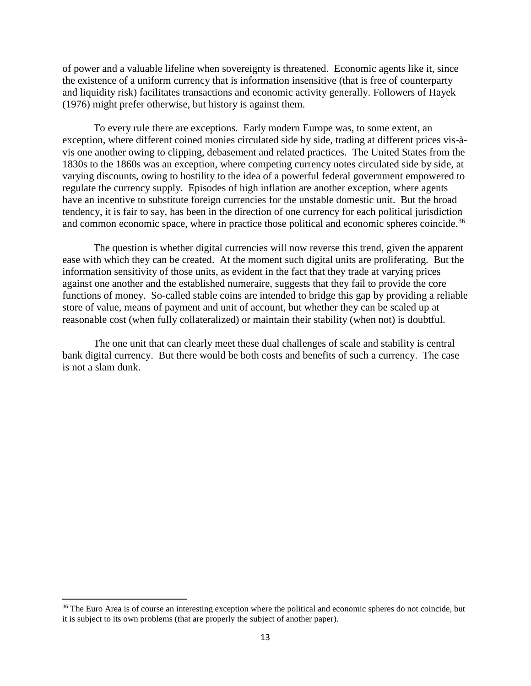of power and a valuable lifeline when sovereignty is threatened. Economic agents like it, since the existence of a uniform currency that is information insensitive (that is free of counterparty and liquidity risk) facilitates transactions and economic activity generally. Followers of Hayek (1976) might prefer otherwise, but history is against them.

To every rule there are exceptions. Early modern Europe was, to some extent, an exception, where different coined monies circulated side by side, trading at different prices vis-àvis one another owing to clipping, debasement and related practices. The United States from the 1830s to the 1860s was an exception, where competing currency notes circulated side by side, at varying discounts, owing to hostility to the idea of a powerful federal government empowered to regulate the currency supply. Episodes of high inflation are another exception, where agents have an incentive to substitute foreign currencies for the unstable domestic unit. But the broad tendency, it is fair to say, has been in the direction of one currency for each political jurisdiction and common economic space, where in practice those political and economic spheres coincide.<sup>36</sup>

The question is whether digital currencies will now reverse this trend, given the apparent ease with which they can be created. At the moment such digital units are proliferating. But the information sensitivity of those units, as evident in the fact that they trade at varying prices against one another and the established numeraire, suggests that they fail to provide the core functions of money. So-called stable coins are intended to bridge this gap by providing a reliable store of value, means of payment and unit of account, but whether they can be scaled up at reasonable cost (when fully collateralized) or maintain their stability (when not) is doubtful.

The one unit that can clearly meet these dual challenges of scale and stability is central bank digital currency. But there would be both costs and benefits of such a currency. The case is not a slam dunk.

<sup>&</sup>lt;sup>36</sup> The Euro Area is of course an interesting exception where the political and economic spheres do not coincide, but it is subject to its own problems (that are properly the subject of another paper).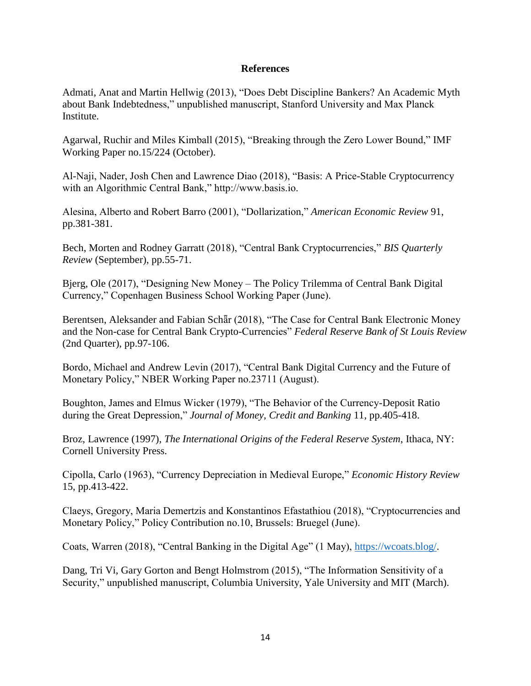# **References**

Admati, Anat and Martin Hellwig (2013), "Does Debt Discipline Bankers? An Academic Myth about Bank Indebtedness," unpublished manuscript, Stanford University and Max Planck Institute.

Agarwal, Ruchir and Miles Kimball (2015), "Breaking through the Zero Lower Bound," IMF Working Paper no.15/224 (October).

Al-Naji, Nader, Josh Chen and Lawrence Diao (2018), "Basis: A Price-Stable Cryptocurrency with an Algorithmic Central Bank," http://www.basis.io.

Alesina, Alberto and Robert Barro (2001), "Dollarization," *American Economic Review* 91, pp.381-381.

Bech, Morten and Rodney Garratt (2018), "Central Bank Cryptocurrencies," *BIS Quarterly Review* (September), pp.55-71.

Bjerg, Ole (2017), "Designing New Money – The Policy Trilemma of Central Bank Digital Currency," Copenhagen Business School Working Paper (June).

Berentsen, Aleksander and Fabian Schar (2018), "The Case for Central Bank Electronic Money and the Non-case for Central Bank Crypto-Currencies" *Federal Reserve Bank of St Louis Review* (2nd Quarter), pp.97-106.

Bordo, Michael and Andrew Levin (2017), "Central Bank Digital Currency and the Future of Monetary Policy," NBER Working Paper no.23711 (August).

Boughton, James and Elmus Wicker (1979), "The Behavior of the Currency-Deposit Ratio during the Great Depression," *Journal of Money, Credit and Banking* 11, pp.405-418.

Broz, Lawrence (1997), *The International Origins of the Federal Reserve System*, Ithaca, NY: Cornell University Press.

Cipolla, Carlo (1963), "Currency Depreciation in Medieval Europe," *Economic History Review* 15, pp.413-422.

Claeys, Gregory, Maria Demertzis and Konstantinos Efastathiou (2018), "Cryptocurrencies and Monetary Policy," Policy Contribution no.10, Brussels: Bruegel (June).

Coats, Warren (2018), "Central Banking in the Digital Age" (1 May), [https://wcoats.blog/.](https://wcoats.blog/)

Dang, Tri Vi, Gary Gorton and Bengt Holmstrom (2015), "The Information Sensitivity of a Security," unpublished manuscript, Columbia University, Yale University and MIT (March).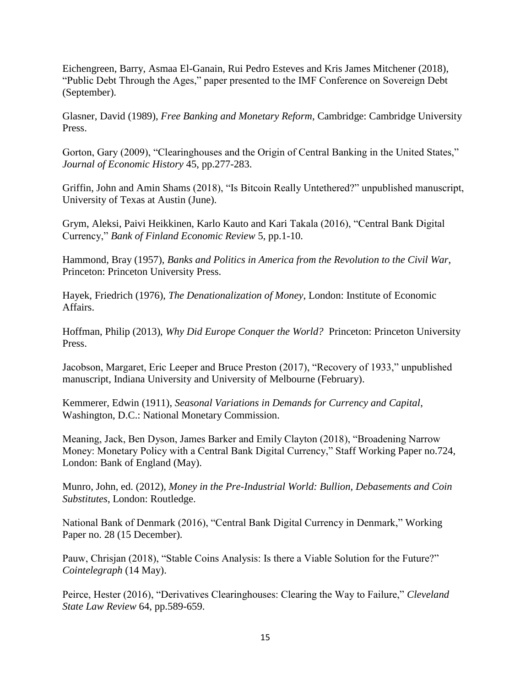Eichengreen, Barry, Asmaa El-Ganain, Rui Pedro Esteves and Kris James Mitchener (2018), "Public Debt Through the Ages," paper presented to the IMF Conference on Sovereign Debt (September).

Glasner, David (1989), *Free Banking and Monetary Reform*, Cambridge: Cambridge University Press.

Gorton, Gary (2009), "Clearinghouses and the Origin of Central Banking in the United States," *Journal of Economic History* 45, pp.277-283.

Griffin, John and Amin Shams (2018), "Is Bitcoin Really Untethered?" unpublished manuscript, University of Texas at Austin (June).

Grym, Aleksi, Paivi Heikkinen, Karlo Kauto and Kari Takala (2016), "Central Bank Digital Currency," *Bank of Finland Economic Review* 5, pp.1-10.

Hammond, Bray (1957), *Banks and Politics in America from the Revolution to the Civil War*, Princeton: Princeton University Press.

Hayek, Friedrich (1976), *The Denationalization of Money*, London: Institute of Economic Affairs.

Hoffman, Philip (2013), *Why Did Europe Conquer the World?* Princeton: Princeton University Press.

Jacobson, Margaret, Eric Leeper and Bruce Preston (2017), "Recovery of 1933," unpublished manuscript, Indiana University and University of Melbourne (February).

Kemmerer, Edwin (1911), *Seasonal Variations in Demands for Currency and Capital*, Washington, D.C.: National Monetary Commission.

Meaning, Jack, Ben Dyson, James Barker and Emily Clayton (2018), "Broadening Narrow Money: Monetary Policy with a Central Bank Digital Currency," Staff Working Paper no.724, London: Bank of England (May).

Munro, John, ed. (2012), *Money in the Pre-Industrial World: Bullion, Debasements and Coin Substitutes*, London: Routledge.

National Bank of Denmark (2016), "Central Bank Digital Currency in Denmark," Working Paper no. 28 (15 December).

Pauw, Chrisjan (2018), "Stable Coins Analysis: Is there a Viable Solution for the Future?" *Cointelegraph* (14 May).

Peirce, Hester (2016), "Derivatives Clearinghouses: Clearing the Way to Failure," *Cleveland State Law Review* 64, pp.589-659.